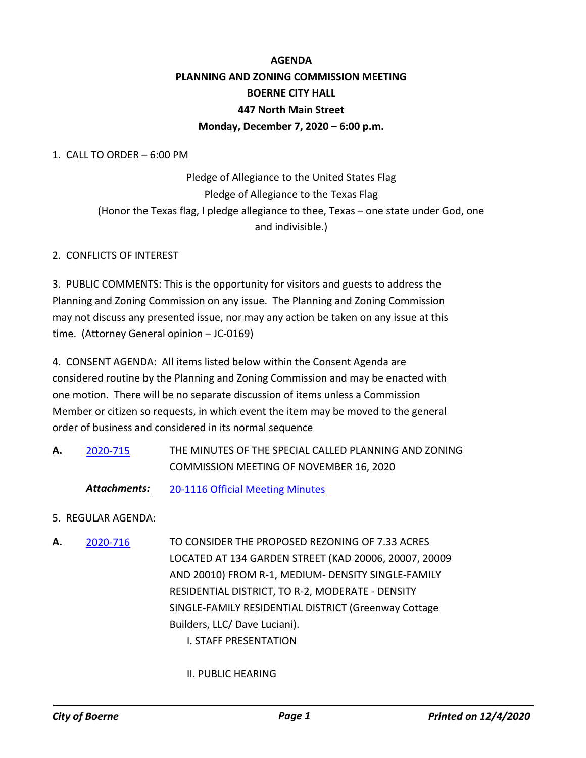# **AGENDA PLANNING AND ZONING COMMISSION MEETING BOERNE CITY HALL 447 North Main Street Monday, December 7, 2020 – 6:00 p.m.**

1. CALL TO ORDER – 6:00 PM

Pledge of Allegiance to the United States Flag Pledge of Allegiance to the Texas Flag (Honor the Texas flag, I pledge allegiance to thee, Texas – one state under God, one and indivisible.)

#### 2. CONFLICTS OF INTEREST

3. PUBLIC COMMENTS: This is the opportunity for visitors and guests to address the Planning and Zoning Commission on any issue. The Planning and Zoning Commission may not discuss any presented issue, nor may any action be taken on any issue at this time. (Attorney General opinion – JC-0169)

4. CONSENT AGENDA: All items listed below within the Consent Agenda are considered routine by the Planning and Zoning Commission and may be enacted with one motion. There will be no separate discussion of items unless a Commission Member or citizen so requests, in which event the item may be moved to the general order of business and considered in its normal sequence

- THE MINUTES OF THE SPECIAL CALLED PLANNING AND ZONING COMMISSION MEETING OF NOVEMBER 16, 2020 **A.** [2020-715](http://boerne.legistar.com/gateway.aspx?m=l&id=/matter.aspx?key=5630)
	- *Attachments:* [20-1116 Official Meeting Minutes](http://boerne.legistar.com/gateway.aspx?M=F&ID=34b5d4a5-e9e2-4e83-b19b-554f280bbedd.pdf)
- 5. REGULAR AGENDA:
- TO CONSIDER THE PROPOSED REZONING OF 7.33 ACRES LOCATED AT 134 GARDEN STREET (KAD 20006, 20007, 20009 AND 20010) FROM R-1, MEDIUM- DENSITY SINGLE-FAMILY RESIDENTIAL DISTRICT, TO R-2, MODERATE - DENSITY SINGLE-FAMILY RESIDENTIAL DISTRICT (Greenway Cottage Builders, LLC/ Dave Luciani). I. STAFF PRESENTATION **A.** [2020-716](http://boerne.legistar.com/gateway.aspx?m=l&id=/matter.aspx?key=5631)
	- II. PUBLIC HEARING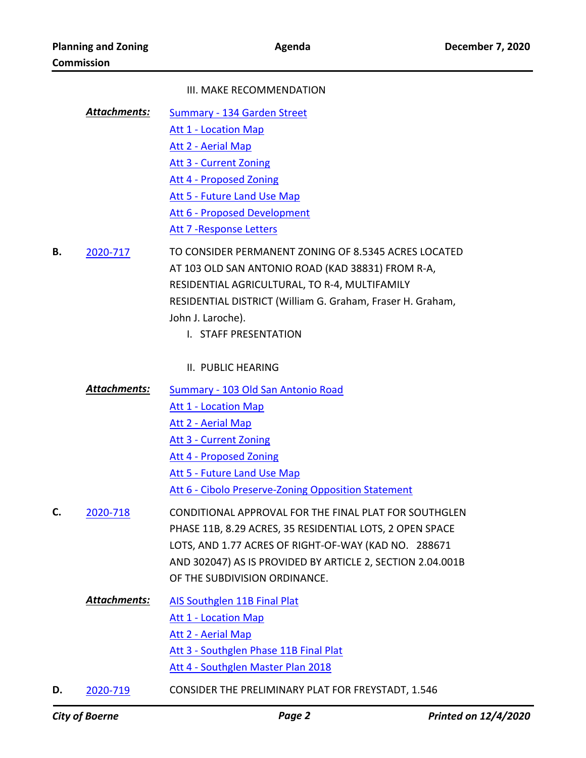#### III. MAKE RECOMMENDATION

[Summary - 134 Garden Street](http://boerne.legistar.com/gateway.aspx?M=F&ID=25950626-cbac-4e25-bc65-e90de14604f0.docx) [Att 1 - Location Map](http://boerne.legistar.com/gateway.aspx?M=F&ID=76a17901-4000-4d10-88bd-de2db182b896.pdf) [Att 2 - Aerial Map](http://boerne.legistar.com/gateway.aspx?M=F&ID=a509577f-2e25-4a2f-8f02-affb4b0741ee.pdf) [Att 3 - Current Zoning](http://boerne.legistar.com/gateway.aspx?M=F&ID=70d4ae45-1165-49fe-af42-db6a29916637.pdf) [Att 4 - Proposed Zoning](http://boerne.legistar.com/gateway.aspx?M=F&ID=6db044ce-5e5b-42bc-8e33-a87179f3bb7b.pdf) [Att 5 - Future Land Use Map](http://boerne.legistar.com/gateway.aspx?M=F&ID=49a6c4d0-b17c-4fff-91ed-57e16a3e26dc.pdf) [Att 6 - Proposed Development](http://boerne.legistar.com/gateway.aspx?M=F&ID=cfe18a3f-4671-46bf-88fe-ef06fe8e0b51.pdf) [Att 7 -Response Letters](http://boerne.legistar.com/gateway.aspx?M=F&ID=d9d1124b-caa0-42b0-a966-512962974d8c.pdf) *Attachments:*

TO CONSIDER PERMANENT ZONING OF 8.5345 ACRES LOCATED AT 103 OLD SAN ANTONIO ROAD (KAD 38831) FROM R-A, RESIDENTIAL AGRICULTURAL, TO R-4, MULTIFAMILY RESIDENTIAL DISTRICT (William G. Graham, Fraser H. Graham, John J. Laroche). **B.** [2020-717](http://boerne.legistar.com/gateway.aspx?m=l&id=/matter.aspx?key=5632)

- I. STAFF PRESENTATION
- II. PUBLIC HEARING
- [Summary 103 Old San Antonio Road](http://boerne.legistar.com/gateway.aspx?M=F&ID=d9cfc8d7-f19b-4f80-8771-00fcc46e2889.docx) [Att 1 - Location Map](http://boerne.legistar.com/gateway.aspx?M=F&ID=b4f9d0ff-a982-4cdf-889a-b12f282f4c0c.pdf) *Attachments:*
	- [Att 2 Aerial Map](http://boerne.legistar.com/gateway.aspx?M=F&ID=348e6f2e-ce5a-4313-8a41-3fd81da73a99.pdf)
	- [Att 3 Current Zoning](http://boerne.legistar.com/gateway.aspx?M=F&ID=8cd99d90-5d9e-489d-9eec-d630464d345a.pdf)
	- [Att 4 Proposed Zoning](http://boerne.legistar.com/gateway.aspx?M=F&ID=14370960-f781-41c6-8310-604e33f8bc71.pdf)
	- [Att 5 Future Land Use Map](http://boerne.legistar.com/gateway.aspx?M=F&ID=380f4545-8bc5-478a-bd9e-53897004ebc8.pdf)
	- [Att 6 Cibolo Preserve-Zoning Opposition Statement](http://boerne.legistar.com/gateway.aspx?M=F&ID=56a695de-4b8b-4ecc-80d8-d2e5b7c4ea4f.pdf)
- CONDITIONAL APPROVAL FOR THE FINAL PLAT FOR SOUTHGLEN PHASE 11B, 8.29 ACRES, 35 RESIDENTIAL LOTS, 2 OPEN SPACE LOTS, AND 1.77 ACRES OF RIGHT-OF-WAY (KAD NO. 288671 AND 302047) AS IS PROVIDED BY ARTICLE 2, SECTION 2.04.001B OF THE SUBDIVISION ORDINANCE. **C.** [2020-718](http://boerne.legistar.com/gateway.aspx?m=l&id=/matter.aspx?key=5633)
	- [AIS Southglen 11B Final Plat](http://boerne.legistar.com/gateway.aspx?M=F&ID=bf52f411-d798-4b16-8e43-89e1b45d9e7d.docx) [Att 1 - Location Map](http://boerne.legistar.com/gateway.aspx?M=F&ID=057fac4d-f769-430e-927b-5869832293cc.pdf) [Att 2 - Aerial Map](http://boerne.legistar.com/gateway.aspx?M=F&ID=b32b41cd-1e37-45cb-a184-45e20ea9187e.pdf) [Att 3 - Southglen Phase 11B Final Plat](http://boerne.legistar.com/gateway.aspx?M=F&ID=f7708527-b9d5-4072-a429-94e15dab0050.pdf) [Att 4 - Southglen Master Plan 2018](http://boerne.legistar.com/gateway.aspx?M=F&ID=bdb36ba6-481d-490b-8f4c-cb3fb3258c94.pdf) *Attachments:*
- **D.** [2020-719](http://boerne.legistar.com/gateway.aspx?m=l&id=/matter.aspx?key=5634) CONSIDER THE PRELIMINARY PLAT FOR FREYSTADT, 1.546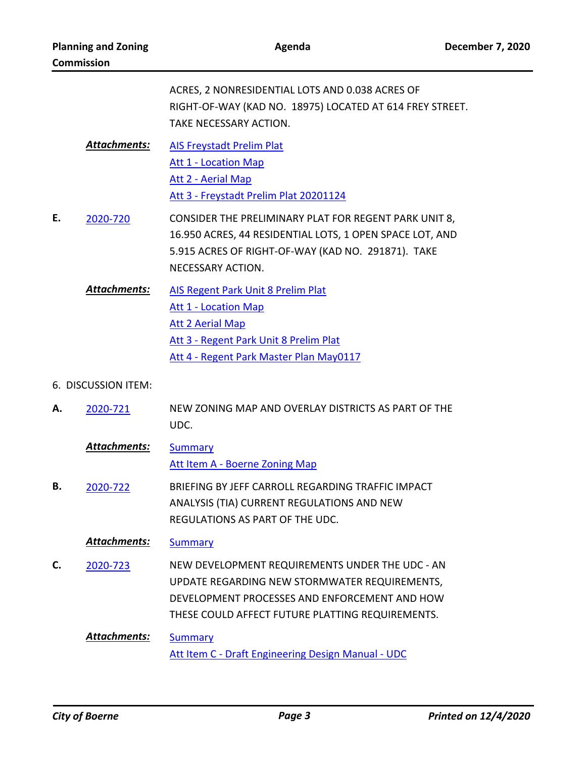|                     |                     | ACRES, 2 NONRESIDENTIAL LOTS AND 0.038 ACRES OF<br>RIGHT-OF-WAY (KAD NO. 18975) LOCATED AT 614 FREY STREET.<br>TAKE NECESSARY ACTION.                                                                 |
|---------------------|---------------------|-------------------------------------------------------------------------------------------------------------------------------------------------------------------------------------------------------|
|                     | <b>Attachments:</b> | <b>AIS Freystadt Prelim Plat</b><br><b>Att 1 - Location Map</b><br>Att 2 - Aerial Map<br>Att 3 - Freystadt Prelim Plat 20201124                                                                       |
| Ε.                  | 2020-720            | CONSIDER THE PRELIMINARY PLAT FOR REGENT PARK UNIT 8,<br>16.950 ACRES, 44 RESIDENTIAL LOTS, 1 OPEN SPACE LOT, AND<br>5.915 ACRES OF RIGHT-OF-WAY (KAD NO. 291871). TAKE<br>NECESSARY ACTION.          |
|                     | <b>Attachments:</b> | <b>AIS Regent Park Unit 8 Prelim Plat</b><br><b>Att 1 - Location Map</b><br><b>Att 2 Aerial Map</b><br>Att 3 - Regent Park Unit 8 Prelim Plat<br>Att 4 - Regent Park Master Plan May0117              |
| 6. DISCUSSION ITEM: |                     |                                                                                                                                                                                                       |
| А.                  | 2020-721            | NEW ZONING MAP AND OVERLAY DISTRICTS AS PART OF THE<br>UDC.                                                                                                                                           |
|                     | <b>Attachments:</b> | <b>Summary</b><br>Att Item A - Boerne Zoning Map                                                                                                                                                      |
| в.                  | 2020-722            | BRIEFING BY JEFF CARROLL REGARDING TRAFFIC IMPACT<br>ANALYSIS (TIA) CURRENT REGULATIONS AND NEW<br>REGULATIONS AS PART OF THE UDC.                                                                    |
|                     | Attachments:        | <b>Summary</b>                                                                                                                                                                                        |
| C.                  | 2020-723            | NEW DEVELOPMENT REQUIREMENTS UNDER THE UDC - AN<br>UPDATE REGARDING NEW STORMWATER REQUIREMENTS,<br>DEVELOPMENT PROCESSES AND ENFORCEMENT AND HOW<br>THESE COULD AFFECT FUTURE PLATTING REQUIREMENTS. |
|                     | Attachments:        | <b>Summary</b><br>Att Item C - Draft Engineering Design Manual - UDC                                                                                                                                  |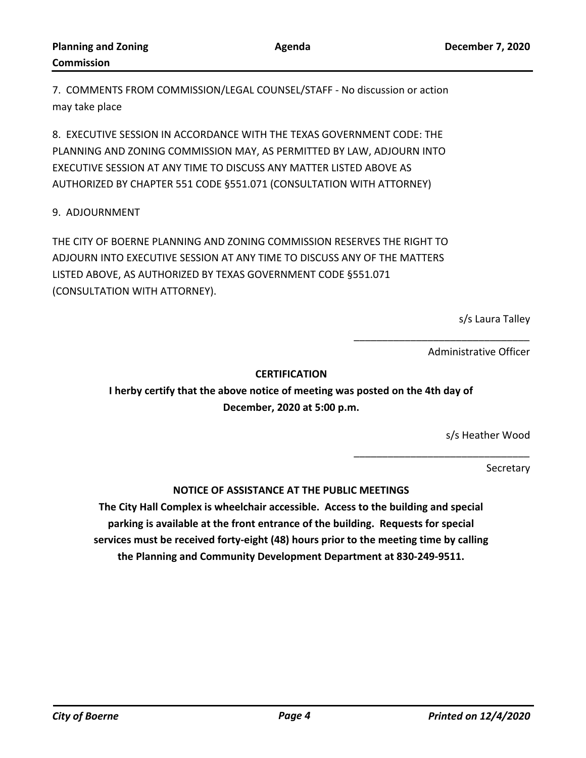7. COMMENTS FROM COMMISSION/LEGAL COUNSEL/STAFF - No discussion or action may take place

8. EXECUTIVE SESSION IN ACCORDANCE WITH THE TEXAS GOVERNMENT CODE: THE PLANNING AND ZONING COMMISSION MAY, AS PERMITTED BY LAW, ADJOURN INTO EXECUTIVE SESSION AT ANY TIME TO DISCUSS ANY MATTER LISTED ABOVE AS AUTHORIZED BY CHAPTER 551 CODE §551.071 (CONSULTATION WITH ATTORNEY)

## 9. ADJOURNMENT

THE CITY OF BOERNE PLANNING AND ZONING COMMISSION RESERVES THE RIGHT TO ADJOURN INTO EXECUTIVE SESSION AT ANY TIME TO DISCUSS ANY OF THE MATTERS LISTED ABOVE, AS AUTHORIZED BY TEXAS GOVERNMENT CODE §551.071 (CONSULTATION WITH ATTORNEY).

s/s Laura Talley

Administrative Officer

\_\_\_\_\_\_\_\_\_\_\_\_\_\_\_\_\_\_\_\_\_\_\_\_\_\_\_\_\_\_\_

\_\_\_\_\_\_\_\_\_\_\_\_\_\_\_\_\_\_\_\_\_\_\_\_\_\_\_\_\_\_\_

### **CERTIFICATION**

**I herby certify that the above notice of meeting was posted on the 4th day of December, 2020 at 5:00 p.m.**

s/s Heather Wood

Secretary

## **NOTICE OF ASSISTANCE AT THE PUBLIC MEETINGS**

**The City Hall Complex is wheelchair accessible. Access to the building and special parking is available at the front entrance of the building. Requests for special services must be received forty-eight (48) hours prior to the meeting time by calling the Planning and Community Development Department at 830-249-9511.**